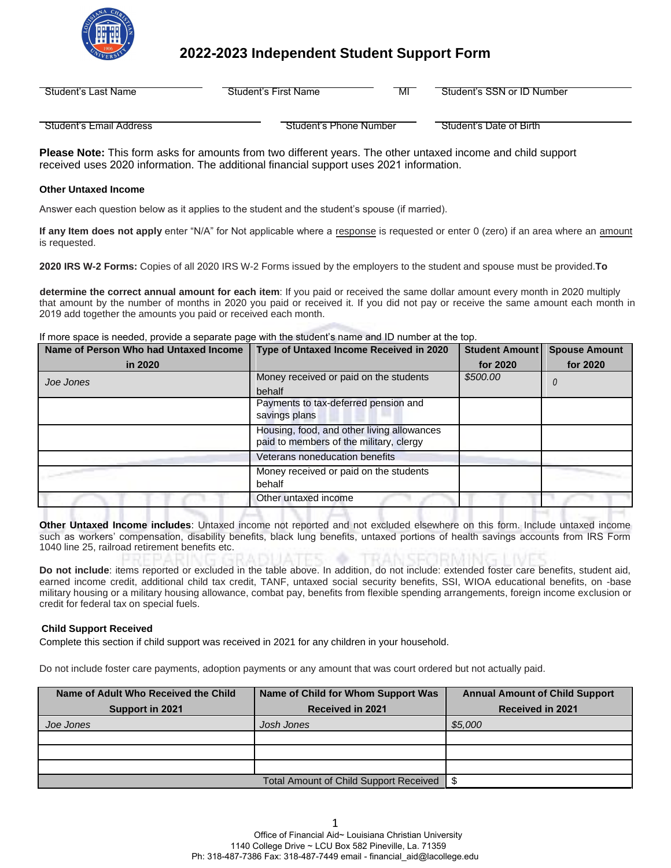

# **2022-2023 Independent Student Support Form**

| Student's Last Name | Student's First Name | MI | Student's SSN or ID Number |
|---------------------|----------------------|----|----------------------------|
|                     |                      |    |                            |

Student's Email Address **Student's Phone Number** Student's Date of Birth

**Please Note:** This form asks for amounts from two different years. The other untaxed income and child support received uses 2020 information. The additional financial support uses 2021 information.

# **Other Untaxed Income**

Answer each question below as it applies to the student and the student's spouse (if married).

**If any Item does not apply** enter "N/A" for Not applicable where a response is requested or enter 0 (zero) if an area where an amount is requested.

**2020 IRS W-2 Forms:** Copies of all 2020 IRS W-2 Forms issued by the employers to the student and spouse must be provided.**To** 

2019 add together the amounts you paid or received each month. **determine the correct annual amount for each item**: If you paid or received the same dollar amount every month in 2020 multiply that amount by the number of months in 2020 you paid or received it. If you did not pay or receive the same amount each month in

If more space is needed, provide a separate page with the student's name and ID number at the top.

| Name of Person Who had Untaxed Income | Type of Untaxed Income Received in 2020    | Student Amount | <b>Spouse Amount</b> |
|---------------------------------------|--------------------------------------------|----------------|----------------------|
| in 2020                               |                                            | for 2020       | for 2020             |
| Joe Jones                             | Money received or paid on the students     | \$500.00       |                      |
|                                       | behalf                                     |                |                      |
|                                       | Payments to tax-deferred pension and       |                |                      |
|                                       | savings plans                              |                |                      |
|                                       | Housing, food, and other living allowances |                |                      |
|                                       | paid to members of the military, clergy    |                |                      |
|                                       | Veterans noneducation benefits             |                |                      |
|                                       | Money received or paid on the students     |                |                      |
|                                       | behalf                                     |                |                      |
|                                       | Other untaxed income                       |                |                      |

**Other Untaxed Income includes**: Untaxed income not reported and not excluded elsewhere on this form. Include untaxed income such as workers' compensation, disability benefits, black lung benefits, untaxed portions of health savings accounts from IRS Form 1040 line 25, railroad retirement benefits etc.

**Do not include**: items reported or excluded in the table above. In addition, do not include: extended foster care benefits, student aid, earned income credit, additional child tax credit, TANF, untaxed social security benefits, SSI, WIOA educational benefits, on -base military housing or a military housing allowance, combat pay, benefits from flexible spending arrangements, foreign income exclusion or credit for federal tax on special fuels.

## **Child Support Received**

Complete this section if child support was received in 2021 for any children in your household.

Do not include foster care payments, adoption payments or any amount that was court ordered but not actually paid.

| Name of Adult Who Received the Child | Name of Child for Whom Support Was            | <b>Annual Amount of Child Support</b> |
|--------------------------------------|-----------------------------------------------|---------------------------------------|
| Support in 2021                      | <b>Received in 2021</b>                       | <b>Received in 2021</b>               |
| Joe Jones                            | Josh Jones                                    | \$5,000                               |
|                                      |                                               |                                       |
|                                      |                                               |                                       |
|                                      |                                               |                                       |
|                                      | <b>Total Amount of Child Support Received</b> | -S                                    |